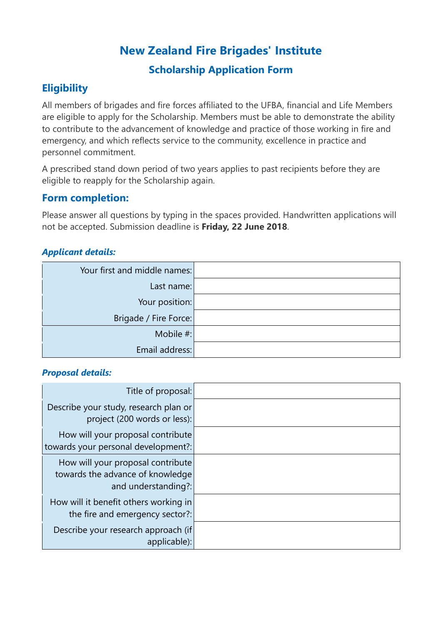# **New Zealand Fire Brigades' Institute**

## **Scholarship Application Form**

## **Eligibility**

All members of brigades and fire forces affiliated to the UFBA, financial and Life Members are eligible to apply for the Scholarship. Members must be able to demonstrate the ability to contribute to the advancement of knowledge and practice of those working in fire and emergency, and which reflects service to the community, excellence in practice and personnel commitment.

A prescribed stand down period of two years applies to past recipients before they are eligible to reapply for the Scholarship again.

## **Form completion:**

Please answer all questions by typing in the spaces provided. Handwritten applications will not be accepted. Submission deadline is **Friday, 22 June 2018**.

### *Applicant details:*

| Your first and middle names: |  |
|------------------------------|--|
| Last name:                   |  |
| Your position:               |  |
| Brigade / Fire Force:        |  |
| Mobile #:                    |  |
| Email address:               |  |

#### *Proposal details:*

| Title of proposal:                                                       |  |
|--------------------------------------------------------------------------|--|
| Describe your study, research plan or<br>project (200 words or less):    |  |
| How will your proposal contribute                                        |  |
| towards your personal development?:<br>How will your proposal contribute |  |
| towards the advance of knowledge<br>and understanding?:                  |  |
| How will it benefit others working in<br>the fire and emergency sector?: |  |
| Describe your research approach (if<br>applicable):                      |  |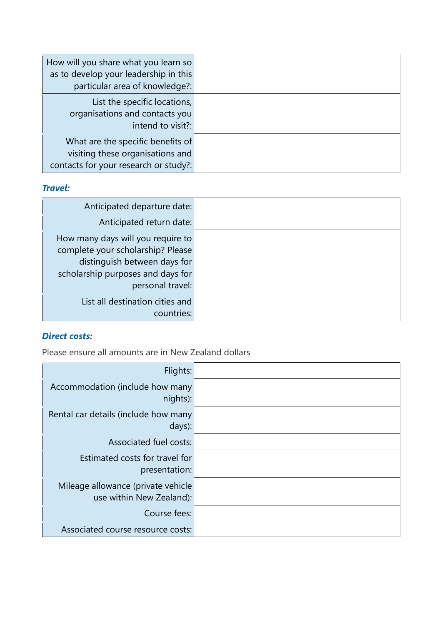| How will you share what you learn so<br>as to develop your leadership in this<br>particular area of knowledge?: |  |
|-----------------------------------------------------------------------------------------------------------------|--|
| List the specific locations,<br>organisations and contacts you<br>intend to visit?:                             |  |
| What are the specific benefits of<br>visiting these organisations and<br>contacts for your research or study?:  |  |

### *Travel:*

| Anticipated departure date:                                                                                                                 |  |
|---------------------------------------------------------------------------------------------------------------------------------------------|--|
| Anticipated return date:                                                                                                                    |  |
| How many days will you require to<br>complete your scholarship? Please<br>distinguish between days for<br>scholarship purposes and days for |  |
| personal travel:                                                                                                                            |  |
| List all destination cities and<br>countries:                                                                                               |  |

### *Direct costs:*

Please ensure all amounts are in New Zealand dollars

| Flights:                             |  |
|--------------------------------------|--|
| Accommodation (include how many      |  |
| nights):                             |  |
| Rental car details (include how many |  |
| days):                               |  |
| Associated fuel costs:               |  |
| Estimated costs for travel for       |  |
| presentation:                        |  |
| Mileage allowance (private vehicle   |  |
| use within New Zealand):             |  |
| Course fees:                         |  |
| Associated course resource costs:    |  |